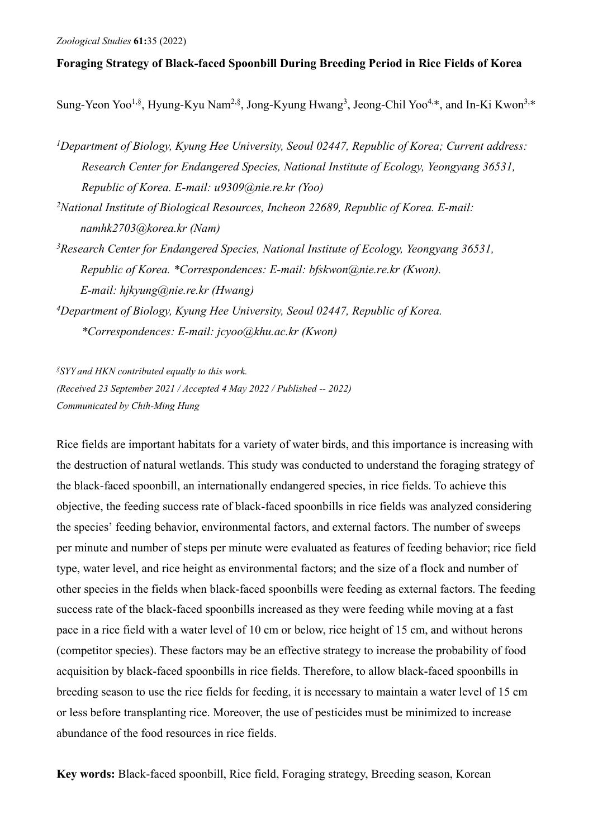# **Foraging Strategy of Black-faced Spoonbill During Breeding Period in Rice Fields of Korea**

Sung-Yeon Yoo<sup>1,§</sup>, Hyung-Kyu Nam<sup>2,§</sup>, Jong-Kyung Hwang<sup>3</sup>, Jeong-Chil Yoo<sup>4,∗</sup>, and In-Ki Kwon<sup>3,∗</sup>

*1Department of Biology, Kyung Hee University, Seoul 02447, Republic of Korea; Current address: Research Center for Endangered Species, National Institute of Ecology, Yeongyang 36531, Republic of Korea. E-mail: u9309@nie.re.kr (Yoo)* 

*2 National Institute of Biological Resources, Incheon 22689, Republic of Korea. E-mail: namhk2703@korea.kr (Nam)* 

- *3Research Center for Endangered Species, National Institute of Ecology, Yeongyang 36531, Republic of Korea. \*Correspondences: E-mail: bfskwon@nie.re.kr (Kwon). E-mail: hjkyung@nie.re.kr (Hwang)*
- *4 Department of Biology, Kyung Hee University, Seoul 02447, Republic of Korea. \*Correspondences: E-mail: jcyoo@khu.ac.kr (Kwon)*

*§ SYY and HKN contributed equally to this work. (Received 23 September 2021 / Accepted 4 May 2022 / Published -- 2022) Communicated by Chih-Ming Hung*

Rice fields are important habitats for a variety of water birds, and this importance is increasing with the destruction of natural wetlands. This study was conducted to understand the foraging strategy of the black-faced spoonbill, an internationally endangered species, in rice fields. To achieve this objective, the feeding success rate of black-faced spoonbills in rice fields was analyzed considering the species' feeding behavior, environmental factors, and external factors. The number of sweeps per minute and number of steps per minute were evaluated as features of feeding behavior; rice field type, water level, and rice height as environmental factors; and the size of a flock and number of other species in the fields when black-faced spoonbills were feeding as external factors. The feeding success rate of the black-faced spoonbills increased as they were feeding while moving at a fast pace in a rice field with a water level of 10 cm or below, rice height of 15 cm, and without herons (competitor species). These factors may be an effective strategy to increase the probability of food acquisition by black-faced spoonbills in rice fields. Therefore, to allow black-faced spoonbills in breeding season to use the rice fields for feeding, it is necessary to maintain a water level of 15 cm or less before transplanting rice. Moreover, the use of pesticides must be minimized to increase abundance of the food resources in rice fields.

**Key words:** Black-faced spoonbill, Rice field, Foraging strategy, Breeding season, Korean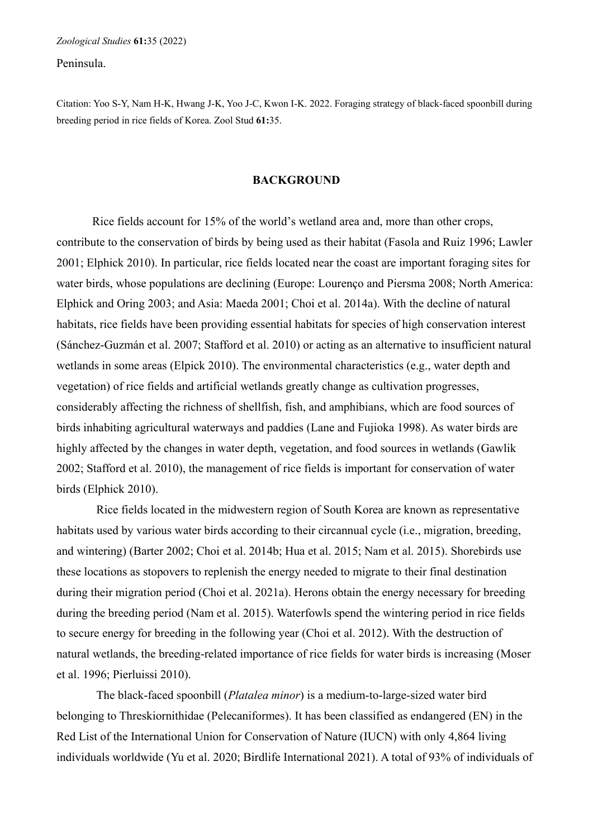Peninsula.

Citation: Yoo S-Y, Nam H-K, Hwang J-K, Yoo J-C, Kwon I-K. 2022. Foraging strategy of black-faced spoonbill during breeding period in rice fields of Korea. Zool Stud **61:**35.

# **BACKGROUND**

Rice fields account for 15% of the world's wetland area and, more than other crops, contribute to the conservation of birds by being used as their habitat (Fasola and Ruiz 1996; Lawler 2001; Elphick 2010). In particular, rice fields located near the coast are important foraging sites for water birds, whose populations are declining (Europe: Lourenço and Piersma 2008; North America: Elphick and Oring 2003; and Asia: Maeda 2001; Choi et al. 2014a). With the decline of natural habitats, rice fields have been providing essential habitats for species of high conservation interest (Sánchez-Guzmán et al. 2007; Stafford et al. 2010) or acting as an alternative to insufficient natural wetlands in some areas (Elpick 2010). The environmental characteristics (e.g., water depth and vegetation) of rice fields and artificial wetlands greatly change as cultivation progresses, considerably affecting the richness of shellfish, fish, and amphibians, which are food sources of birds inhabiting agricultural waterways and paddies (Lane and Fujioka 1998). As water birds are highly affected by the changes in water depth, vegetation, and food sources in wetlands (Gawlik 2002; Stafford et al. 2010), the management of rice fields is important for conservation of water birds (Elphick 2010).

Rice fields located in the midwestern region of South Korea are known as representative habitats used by various water birds according to their circannual cycle (i.e., migration, breeding, and wintering) (Barter 2002; Choi et al. 2014b; Hua et al. 2015; Nam et al. 2015). Shorebirds use these locations as stopovers to replenish the energy needed to migrate to their final destination during their migration period (Choi et al. 2021a). Herons obtain the energy necessary for breeding during the breeding period (Nam et al. 2015). Waterfowls spend the wintering period in rice fields to secure energy for breeding in the following year (Choi et al. 2012). With the destruction of natural wetlands, the breeding-related importance of rice fields for water birds is increasing (Moser et al. 1996; Pierluissi 2010).

The black-faced spoonbill (*Platalea minor*) is a medium-to-large-sized water bird belonging to Threskiornithidae (Pelecaniformes). It has been classified as endangered (EN) in the Red List of the International Union for Conservation of Nature (IUCN) with only 4,864 living individuals worldwide (Yu et al. 2020; Birdlife International 2021). A total of 93% of individuals of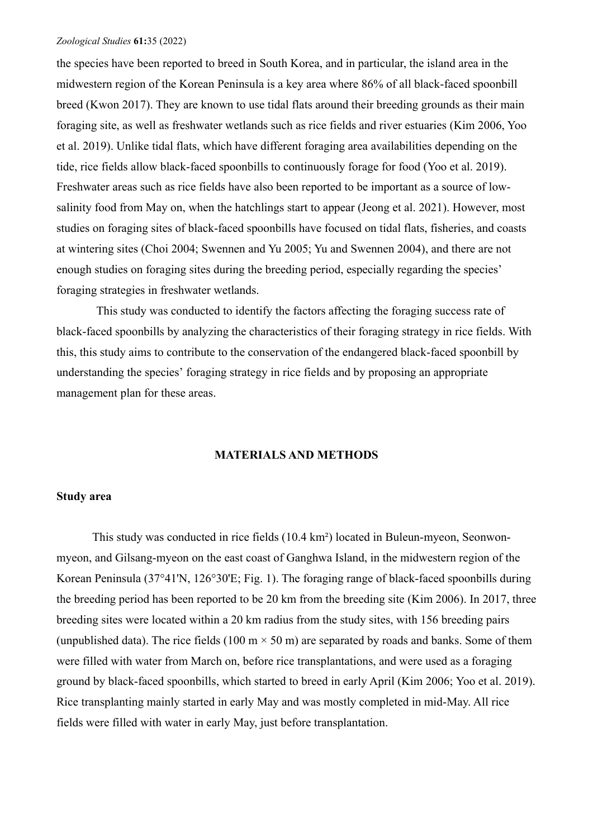the species have been reported to breed in South Korea, and in particular, the island area in the midwestern region of the Korean Peninsula is a key area where 86% of all black-faced spoonbill breed (Kwon 2017). They are known to use tidal flats around their breeding grounds as their main foraging site, as well as freshwater wetlands such as rice fields and river estuaries (Kim 2006, Yoo et al. 2019). Unlike tidal flats, which have different foraging area availabilities depending on the tide, rice fields allow black-faced spoonbills to continuously forage for food (Yoo et al. 2019). Freshwater areas such as rice fields have also been reported to be important as a source of lowsalinity food from May on, when the hatchlings start to appear (Jeong et al. 2021). However, most studies on foraging sites of black-faced spoonbills have focused on tidal flats, fisheries, and coasts at wintering sites (Choi 2004; Swennen and Yu 2005; Yu and Swennen 2004), and there are not enough studies on foraging sites during the breeding period, especially regarding the species' foraging strategies in freshwater wetlands.

This study was conducted to identify the factors affecting the foraging success rate of black-faced spoonbills by analyzing the characteristics of their foraging strategy in rice fields. With this, this study aims to contribute to the conservation of the endangered black-faced spoonbill by understanding the species' foraging strategy in rice fields and by proposing an appropriate management plan for these areas.

# **MATERIALS AND METHODS**

# **Study area**

This study was conducted in rice fields (10.4 km²) located in Buleun-myeon, Seonwonmyeon, and Gilsang-myeon on the east coast of Ganghwa Island, in the midwestern region of the Korean Peninsula (37°41'N, 126°30'E; Fig. 1). The foraging range of black-faced spoonbills during the breeding period has been reported to be 20 km from the breeding site (Kim 2006). In 2017, three breeding sites were located within a 20 km radius from the study sites, with 156 breeding pairs (unpublished data). The rice fields (100 m  $\times$  50 m) are separated by roads and banks. Some of them were filled with water from March on, before rice transplantations, and were used as a foraging ground by black-faced spoonbills, which started to breed in early April (Kim 2006; Yoo et al. 2019). Rice transplanting mainly started in early May and was mostly completed in mid-May. All rice fields were filled with water in early May, just before transplantation.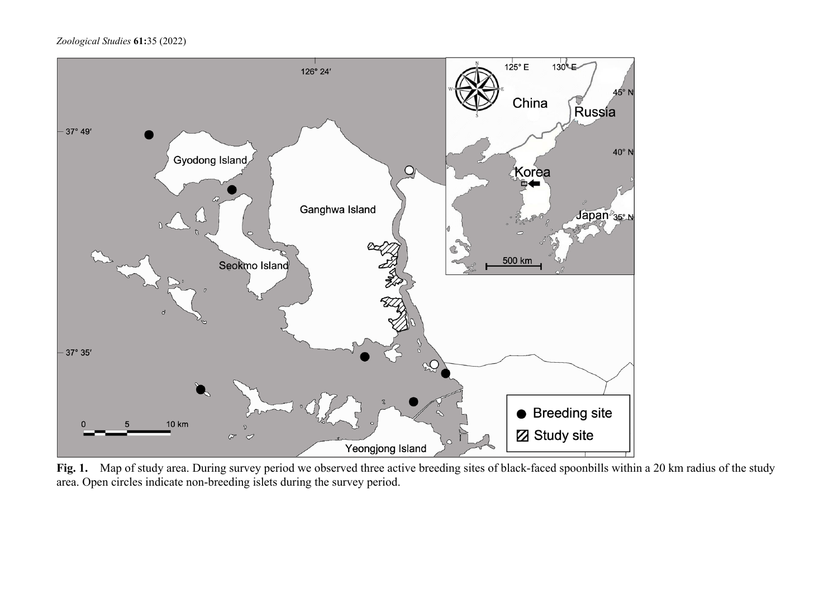

Fig. 1. Map of study area. During survey period we observed three active breeding sites of black-faced spoonbills within a 20 km radius of the study area. Open circles indicate non-breeding islets during the survey period.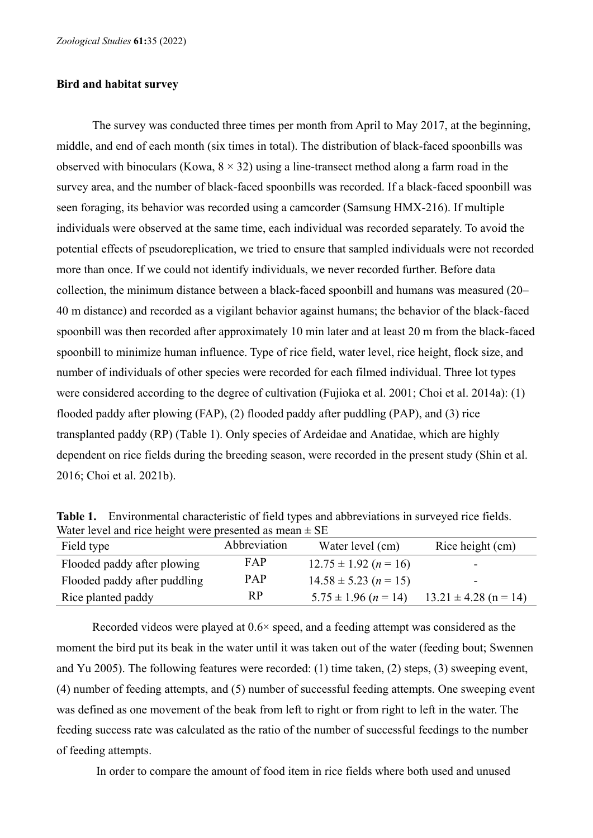## **Bird and habitat survey**

The survey was conducted three times per month from April to May 2017, at the beginning, middle, and end of each month (six times in total). The distribution of black-faced spoonbills was observed with binoculars (Kowa,  $8 \times 32$ ) using a line-transect method along a farm road in the survey area, and the number of black-faced spoonbills was recorded. If a black-faced spoonbill was seen foraging, its behavior was recorded using a camcorder (Samsung HMX-216). If multiple individuals were observed at the same time, each individual was recorded separately. To avoid the potential effects of pseudoreplication, we tried to ensure that sampled individuals were not recorded more than once. If we could not identify individuals, we never recorded further. Before data collection, the minimum distance between a black-faced spoonbill and humans was measured (20– 40 m distance) and recorded as a vigilant behavior against humans; the behavior of the black-faced spoonbill was then recorded after approximately 10 min later and at least 20 m from the black-faced spoonbill to minimize human influence. Type of rice field, water level, rice height, flock size, and number of individuals of other species were recorded for each filmed individual. Three lot types were considered according to the degree of cultivation (Fujioka et al. 2001; Choi et al. 2014a): (1) flooded paddy after plowing (FAP), (2) flooded paddy after puddling (PAP), and (3) rice transplanted paddy (RP) (Table 1). Only species of Ardeidae and Anatidae, which are highly dependent on rice fields during the breeding season, were recorded in the present study (Shin et al. 2016; Choi et al. 2021b).

**Table 1.** Environmental characteristic of field types and abbreviations in surveyed rice fields. Water level and rice height were presented as mean  $\pm$  SE

| Field type                   | Abbreviation | Water level (cm)          | Rice height (cm)          |
|------------------------------|--------------|---------------------------|---------------------------|
| Flooded paddy after plowing  | FAP          | $12.75 \pm 1.92$ (n = 16) | -                         |
| Flooded paddy after puddling | <b>PAP</b>   | $14.58 \pm 5.23$ (n = 15) | -                         |
| Rice planted paddy           | RP           | $5.75 \pm 1.96$ (n = 14)  | $13.21 \pm 4.28$ (n = 14) |

Recorded videos were played at 0.6× speed, and a feeding attempt was considered as the moment the bird put its beak in the water until it was taken out of the water (feeding bout; Swennen and Yu 2005). The following features were recorded: (1) time taken, (2) steps, (3) sweeping event, (4) number of feeding attempts, and (5) number of successful feeding attempts. One sweeping event was defined as one movement of the beak from left to right or from right to left in the water. The feeding success rate was calculated as the ratio of the number of successful feedings to the number of feeding attempts.

In order to compare the amount of food item in rice fields where both used and unused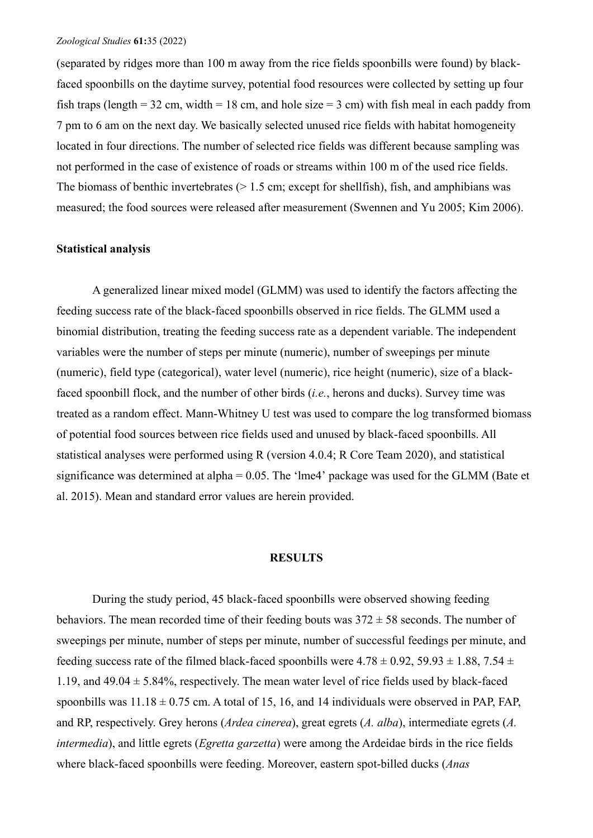(separated by ridges more than 100 m away from the rice fields spoonbills were found) by blackfaced spoonbills on the daytime survey, potential food resources were collected by setting up four fish traps (length =  $32 \text{ cm}$ , width =  $18 \text{ cm}$ , and hole size =  $3 \text{ cm}$ ) with fish meal in each paddy from 7 pm to 6 am on the next day. We basically selected unused rice fields with habitat homogeneity located in four directions. The number of selected rice fields was different because sampling was not performed in the case of existence of roads or streams within 100 m of the used rice fields. The biomass of benthic invertebrates  $(> 1.5 \text{ cm}; \text{except for shellfish})$ , fish, and amphibians was measured; the food sources were released after measurement (Swennen and Yu 2005; Kim 2006).

## **Statistical analysis**

A generalized linear mixed model (GLMM) was used to identify the factors affecting the feeding success rate of the black-faced spoonbills observed in rice fields. The GLMM used a binomial distribution, treating the feeding success rate as a dependent variable. The independent variables were the number of steps per minute (numeric), number of sweepings per minute (numeric), field type (categorical), water level (numeric), rice height (numeric), size of a blackfaced spoonbill flock, and the number of other birds (*i.e.*, herons and ducks). Survey time was treated as a random effect. Mann-Whitney U test was used to compare the log transformed biomass of potential food sources between rice fields used and unused by black-faced spoonbills. All statistical analyses were performed using R (version 4.0.4; R Core Team 2020), and statistical significance was determined at alpha = 0.05. The 'lme4' package was used for the GLMM (Bate et al. 2015). Mean and standard error values are herein provided.

### **RESULTS**

During the study period, 45 black-faced spoonbills were observed showing feeding behaviors. The mean recorded time of their feeding bouts was  $372 \pm 58$  seconds. The number of sweepings per minute, number of steps per minute, number of successful feedings per minute, and feeding success rate of the filmed black-faced spoonbills were  $4.78 \pm 0.92$ ,  $59.93 \pm 1.88$ ,  $7.54 \pm 1.88$ 1.19, and  $49.04 \pm 5.84\%$ , respectively. The mean water level of rice fields used by black-faced spoonbills was  $11.18 \pm 0.75$  cm. A total of 15, 16, and 14 individuals were observed in PAP, FAP, and RP, respectively. Grey herons (*Ardea cinerea*), great egrets (*A. alba*), intermediate egrets (*A. intermedia*), and little egrets (*Egretta garzetta*) were among the Ardeidae birds in the rice fields where black-faced spoonbills were feeding. Moreover, eastern spot-billed ducks (*Anas*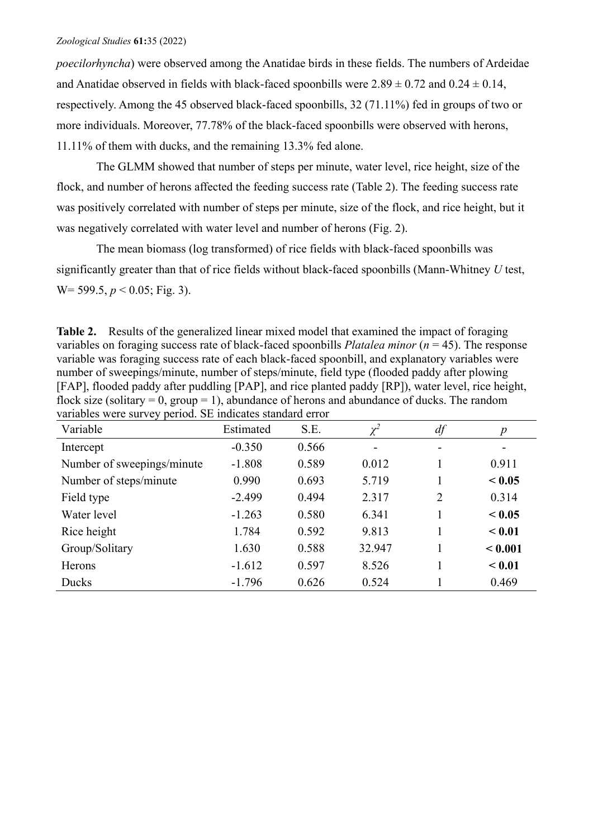*poecilorhyncha*) were observed among the Anatidae birds in these fields. The numbers of Ardeidae and Anatidae observed in fields with black-faced spoonbills were  $2.89 \pm 0.72$  and  $0.24 \pm 0.14$ , respectively. Among the 45 observed black-faced spoonbills, 32 (71.11%) fed in groups of two or more individuals. Moreover, 77.78% of the black-faced spoonbills were observed with herons, 11.11% of them with ducks, and the remaining 13.3% fed alone.

The GLMM showed that number of steps per minute, water level, rice height, size of the flock, and number of herons affected the feeding success rate (Table 2). The feeding success rate was positively correlated with number of steps per minute, size of the flock, and rice height, but it was negatively correlated with water level and number of herons (Fig. 2).

The mean biomass (log transformed) of rice fields with black-faced spoonbills was significantly greater than that of rice fields without black-faced spoonbills (Mann-Whitney *U* test, W= 599.5, *p* < 0.05; Fig. 3).

**Table 2.** Results of the generalized linear mixed model that examined the impact of foraging variables on foraging success rate of black-faced spoonbills *Platalea minor* (*n* = 45). The response variable was foraging success rate of each black-faced spoonbill, and explanatory variables were number of sweepings/minute, number of steps/minute, field type (flooded paddy after plowing [FAP], flooded paddy after puddling [PAP], and rice planted paddy [RP]), water level, rice height, flock size (solitary = 0, group = 1), abundance of herons and abundance of ducks. The random variables were survey period. SE indicates standard error

| Variable                   | Estimated | S.E.  | $\chi^2$                 | df             | $\boldsymbol{p}$ |
|----------------------------|-----------|-------|--------------------------|----------------|------------------|
| Intercept                  | $-0.350$  | 0.566 | $\overline{\phantom{0}}$ |                |                  |
| Number of sweepings/minute | $-1.808$  | 0.589 | 0.012                    |                | 0.911            |
| Number of steps/minute     | 0.990     | 0.693 | 5.719                    |                | < 0.05           |
| Field type                 | $-2.499$  | 0.494 | 2.317                    | $\overline{2}$ | 0.314            |
| Water level                | $-1.263$  | 0.580 | 6.341                    |                | < 0.05           |
| Rice height                | 1.784     | 0.592 | 9.813                    |                | < 0.01           |
| Group/Solitary             | 1.630     | 0.588 | 32.947                   |                | < 0.001          |
| Herons                     | $-1.612$  | 0.597 | 8.526                    |                | < 0.01           |
| Ducks                      | $-1.796$  | 0.626 | 0.524                    |                | 0.469            |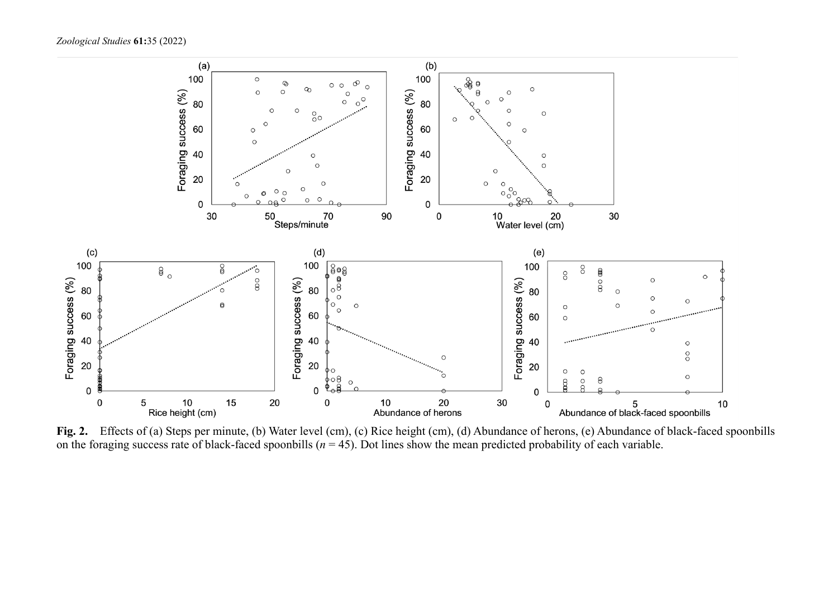

Fig. 2. Effects of (a) Steps per minute, (b) Water level (cm), (c) Rice height (cm), (d) Abundance of herons, (e) Abundance of black-faced spoonbills on the foraging success rate of black-faced spoonbills ( $n = 45$ ). Dot lines show the mean predicted probability of each variable.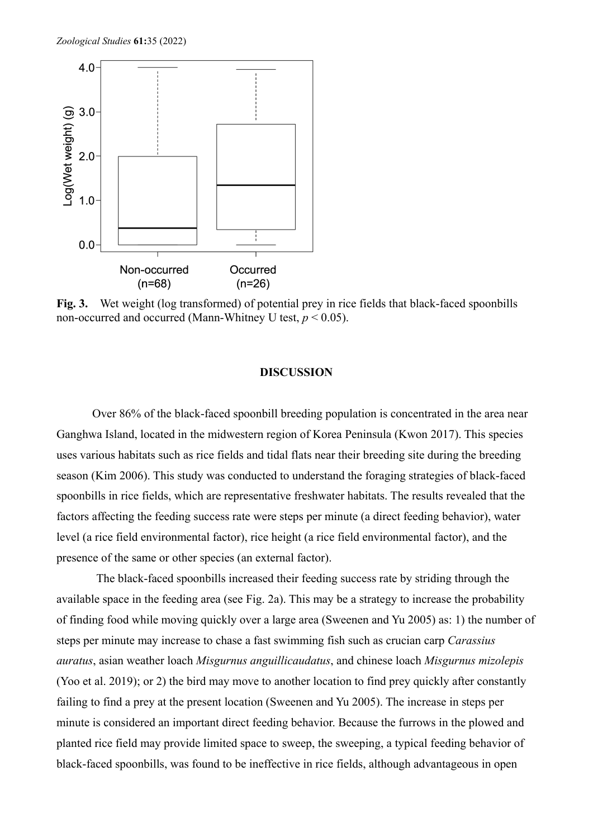

**Fig. 3.** Wet weight (log transformed) of potential prey in rice fields that black-faced spoonbills non-occurred and occurred (Mann-Whitney U test,  $p < 0.05$ ).

## **DISCUSSION**

Over 86% of the black-faced spoonbill breeding population is concentrated in the area near Ganghwa Island, located in the midwestern region of Korea Peninsula (Kwon 2017). This species uses various habitats such as rice fields and tidal flats near their breeding site during the breeding season (Kim 2006). This study was conducted to understand the foraging strategies of black-faced spoonbills in rice fields, which are representative freshwater habitats. The results revealed that the factors affecting the feeding success rate were steps per minute (a direct feeding behavior), water level (a rice field environmental factor), rice height (a rice field environmental factor), and the presence of the same or other species (an external factor).

The black-faced spoonbills increased their feeding success rate by striding through the available space in the feeding area (see Fig. 2a). This may be a strategy to increase the probability of finding food while moving quickly over a large area (Sweenen and Yu 2005) as: 1) the number of steps per minute may increase to chase a fast swimming fish such as crucian carp *Carassius auratus*, asian weather loach *Misgurnus anguillicaudatus*, and chinese loach *Misgurnus mizolepis*  (Yoo et al. 2019); or 2) the bird may move to another location to find prey quickly after constantly failing to find a prey at the present location (Sweenen and Yu 2005). The increase in steps per minute is considered an important direct feeding behavior. Because the furrows in the plowed and planted rice field may provide limited space to sweep, the sweeping, a typical feeding behavior of black-faced spoonbills, was found to be ineffective in rice fields, although advantageous in open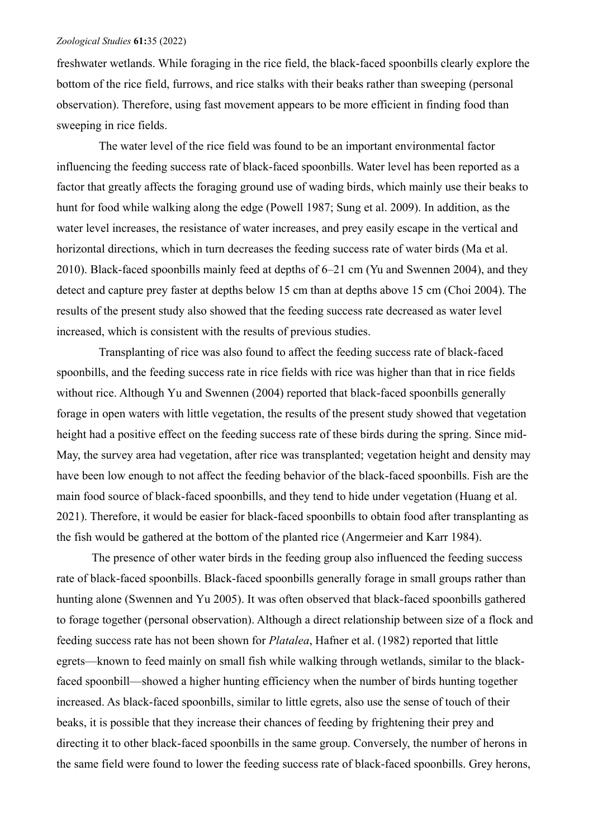freshwater wetlands. While foraging in the rice field, the black-faced spoonbills clearly explore the bottom of the rice field, furrows, and rice stalks with their beaks rather than sweeping (personal observation). Therefore, using fast movement appears to be more efficient in finding food than sweeping in rice fields.

The water level of the rice field was found to be an important environmental factor influencing the feeding success rate of black-faced spoonbills. Water level has been reported as a factor that greatly affects the foraging ground use of wading birds, which mainly use their beaks to hunt for food while walking along the edge (Powell 1987; Sung et al. 2009). In addition, as the water level increases, the resistance of water increases, and prey easily escape in the vertical and horizontal directions, which in turn decreases the feeding success rate of water birds (Ma et al. 2010). Black-faced spoonbills mainly feed at depths of 6–21 cm (Yu and Swennen 2004), and they detect and capture prey faster at depths below 15 cm than at depths above 15 cm (Choi 2004). The results of the present study also showed that the feeding success rate decreased as water level increased, which is consistent with the results of previous studies.

Transplanting of rice was also found to affect the feeding success rate of black-faced spoonbills, and the feeding success rate in rice fields with rice was higher than that in rice fields without rice. Although Yu and Swennen (2004) reported that black-faced spoonbills generally forage in open waters with little vegetation, the results of the present study showed that vegetation height had a positive effect on the feeding success rate of these birds during the spring. Since mid-May, the survey area had vegetation, after rice was transplanted; vegetation height and density may have been low enough to not affect the feeding behavior of the black-faced spoonbills. Fish are the main food source of black-faced spoonbills, and they tend to hide under vegetation (Huang et al. 2021). Therefore, it would be easier for black-faced spoonbills to obtain food after transplanting as the fish would be gathered at the bottom of the planted rice (Angermeier and Karr 1984).

The presence of other water birds in the feeding group also influenced the feeding success rate of black-faced spoonbills. Black-faced spoonbills generally forage in small groups rather than hunting alone (Swennen and Yu 2005). It was often observed that black-faced spoonbills gathered to forage together (personal observation). Although a direct relationship between size of a flock and feeding success rate has not been shown for *Platalea*, Hafner et al. (1982) reported that little egrets—known to feed mainly on small fish while walking through wetlands, similar to the blackfaced spoonbill—showed a higher hunting efficiency when the number of birds hunting together increased. As black-faced spoonbills, similar to little egrets, also use the sense of touch of their beaks, it is possible that they increase their chances of feeding by frightening their prey and directing it to other black-faced spoonbills in the same group. Conversely, the number of herons in the same field were found to lower the feeding success rate of black-faced spoonbills. Grey herons,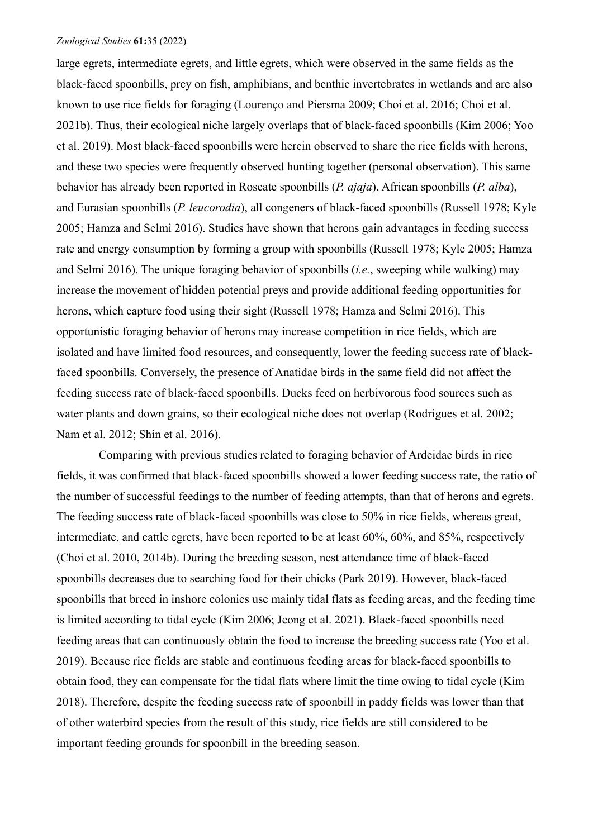large egrets, intermediate egrets, and little egrets, which were observed in the same fields as the black-faced spoonbills, prey on fish, amphibians, and benthic invertebrates in wetlands and are also known to use rice fields for foraging (Lourenço and Piersma 2009; Choi et al. 2016; Choi et al. 2021b). Thus, their ecological niche largely overlaps that of black-faced spoonbills (Kim 2006; Yoo et al. 2019). Most black-faced spoonbills were herein observed to share the rice fields with herons, and these two species were frequently observed hunting together (personal observation). This same behavior has already been reported in Roseate spoonbills (*P. ajaja*), African spoonbills (*P. alba*), and Eurasian spoonbills (*P. leucorodia*), all congeners of black-faced spoonbills (Russell 1978; Kyle 2005; Hamza and Selmi 2016). Studies have shown that herons gain advantages in feeding success rate and energy consumption by forming a group with spoonbills (Russell 1978; Kyle 2005; Hamza and Selmi 2016). The unique foraging behavior of spoonbills (*i.e.*, sweeping while walking) may increase the movement of hidden potential preys and provide additional feeding opportunities for herons, which capture food using their sight (Russell 1978; Hamza and Selmi 2016). This opportunistic foraging behavior of herons may increase competition in rice fields, which are isolated and have limited food resources, and consequently, lower the feeding success rate of blackfaced spoonbills. Conversely, the presence of Anatidae birds in the same field did not affect the feeding success rate of black-faced spoonbills. Ducks feed on herbivorous food sources such as water plants and down grains, so their ecological niche does not overlap (Rodrigues et al. 2002; Nam et al. 2012; Shin et al. 2016).

Comparing with previous studies related to foraging behavior of Ardeidae birds in rice fields, it was confirmed that black-faced spoonbills showed a lower feeding success rate, the ratio of the number of successful feedings to the number of feeding attempts, than that of herons and egrets. The feeding success rate of black-faced spoonbills was close to 50% in rice fields, whereas great, intermediate, and cattle egrets, have been reported to be at least 60%, 60%, and 85%, respectively (Choi et al. 2010, 2014b). During the breeding season, nest attendance time of black-faced spoonbills decreases due to searching food for their chicks (Park 2019). However, black-faced spoonbills that breed in inshore colonies use mainly tidal flats as feeding areas, and the feeding time is limited according to tidal cycle (Kim 2006; Jeong et al. 2021). Black-faced spoonbills need feeding areas that can continuously obtain the food to increase the breeding success rate (Yoo et al. 2019). Because rice fields are stable and continuous feeding areas for black-faced spoonbills to obtain food, they can compensate for the tidal flats where limit the time owing to tidal cycle (Kim 2018). Therefore, despite the feeding success rate of spoonbill in paddy fields was lower than that of other waterbird species from the result of this study, rice fields are still considered to be important feeding grounds for spoonbill in the breeding season.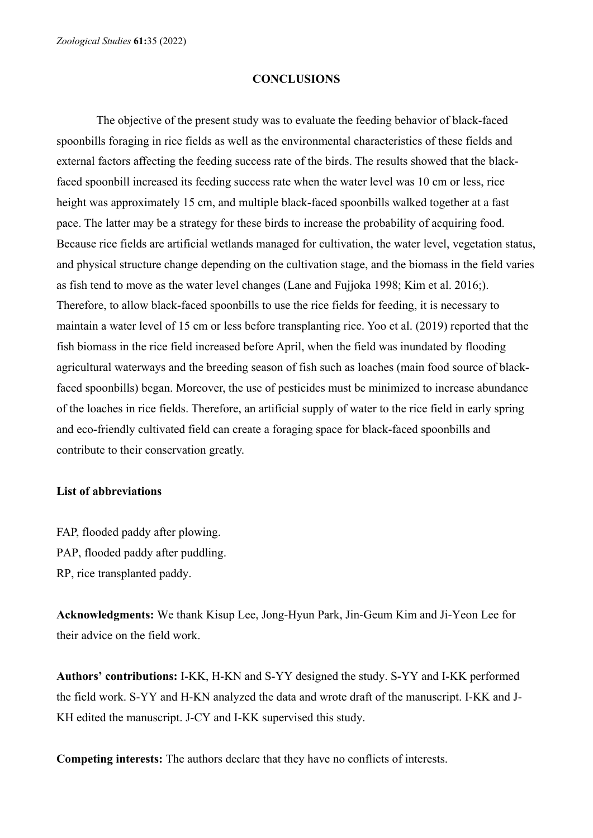### **CONCLUSIONS**

The objective of the present study was to evaluate the feeding behavior of black-faced spoonbills foraging in rice fields as well as the environmental characteristics of these fields and external factors affecting the feeding success rate of the birds. The results showed that the blackfaced spoonbill increased its feeding success rate when the water level was 10 cm or less, rice height was approximately 15 cm, and multiple black-faced spoonbills walked together at a fast pace. The latter may be a strategy for these birds to increase the probability of acquiring food. Because rice fields are artificial wetlands managed for cultivation, the water level, vegetation status, and physical structure change depending on the cultivation stage, and the biomass in the field varies as fish tend to move as the water level changes (Lane and Fujjoka 1998; Kim et al. 2016;). Therefore, to allow black-faced spoonbills to use the rice fields for feeding, it is necessary to maintain a water level of 15 cm or less before transplanting rice. Yoo et al. (2019) reported that the fish biomass in the rice field increased before April, when the field was inundated by flooding agricultural waterways and the breeding season of fish such as loaches (main food source of blackfaced spoonbills) began. Moreover, the use of pesticides must be minimized to increase abundance of the loaches in rice fields. Therefore, an artificial supply of water to the rice field in early spring and eco-friendly cultivated field can create a foraging space for black-faced spoonbills and contribute to their conservation greatly.

### **List of abbreviations**

FAP, flooded paddy after plowing. PAP, flooded paddy after puddling. RP, rice transplanted paddy.

**Acknowledgments:** We thank Kisup Lee, Jong-Hyun Park, Jin-Geum Kim and Ji-Yeon Lee for their advice on the field work.

**Authors' contributions:** I-KK, H-KN and S-YY designed the study. S-YY and I-KK performed the field work. S-YY and H-KN analyzed the data and wrote draft of the manuscript. I-KK and J-KH edited the manuscript. J-CY and I-KK supervised this study.

**Competing interests:** The authors declare that they have no conflicts of interests.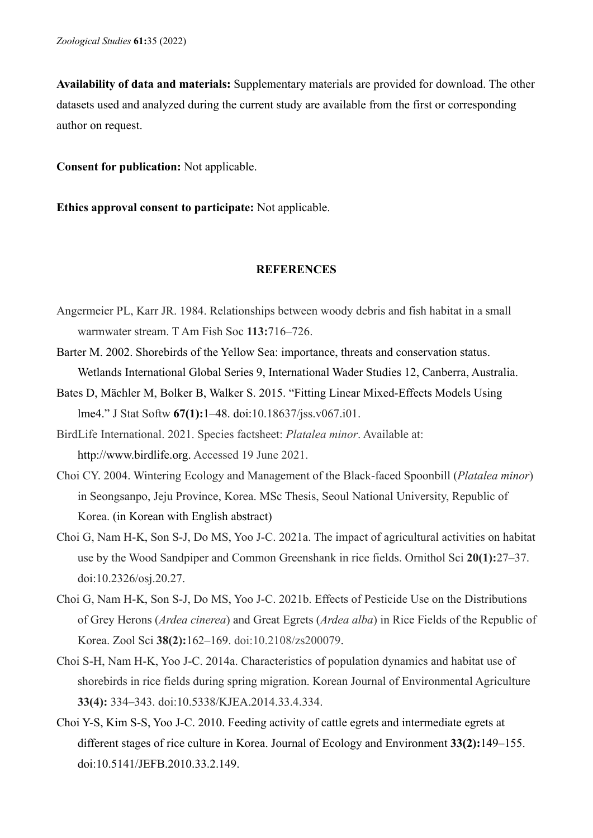**Availability of data and materials:** Supplementary materials are provided for download. The other datasets used and analyzed during the current study are available from the first or corresponding author on request.

**Consent for publication:** Not applicable.

**Ethics approval consent to participate:** Not applicable.

## **REFERENCES**

- Angermeier PL, Karr JR. 1984. Relationships between woody debris and fish habitat in a small warmwater stream. T Am Fish Soc **113:**716–726.
- Barter M. 2002. Shorebirds of the Yellow Sea: importance, threats and conservation status. Wetlands International Global Series 9, International Wader Studies 12, Canberra, Australia.
- Bates D, Mächler M, Bolker B, Walker S. 2015. "Fitting Linear Mixed-Effects Models Using lme4." J Stat Softw **67(1):**1–48. doi[:10.18637/jss.v067.i01.](https://doi.org/10.18637/jss.v067.i01)
- BirdLife International. 2021. Species factsheet: *Platalea minor*. Available at: http://www.birdlife.org. Accessed 19 June 2021.
- Choi CY. 2004. Wintering Ecology and Management of the Black-faced Spoonbill (*Platalea minor*) in Seongsanpo, Jeju Province, Korea. MSc Thesis, Seoul National University, Republic of Korea. (in Korean with English abstract)
- Choi G, Nam H-K, Son S-J, Do MS, Yoo J-C. 2021a. The impact of agricultural activities on habitat use by the Wood Sandpiper and Common Greenshank in rice fields. Ornithol Sci **20(1):**27–37. doi:10.2326/osj.20.27.
- Choi G, Nam H-K, Son S-J, Do MS, Yoo J-C. 2021b. Effects of Pesticide Use on the Distributions of Grey Herons (*Ardea cinerea*) and Great Egrets (*Ardea alba*) in Rice Fields of the Republic of Korea. Zool Sci **38(2):**162–169. [doi:10.2108/zs200079.](https://doi.org/10.2108/zs200079)
- Choi S-H, Nam H-K, Yoo J-C. 2014a. Characteristics of population dynamics and habitat use of shorebirds in rice fields during spring migration. Korean Journal of Environmental Agriculture **33(4):** 334–343. doi:10.5338/KJEA.2014.33.4.334.
- Choi Y-S, Kim S-S, Yoo J-C. 2010. Feeding activity of cattle egrets and intermediate egrets at different stages of rice culture in Korea. Journal of Ecology and Environment **33(2):**149–155. doi:10.5141/JEFB.2010.33.2.149.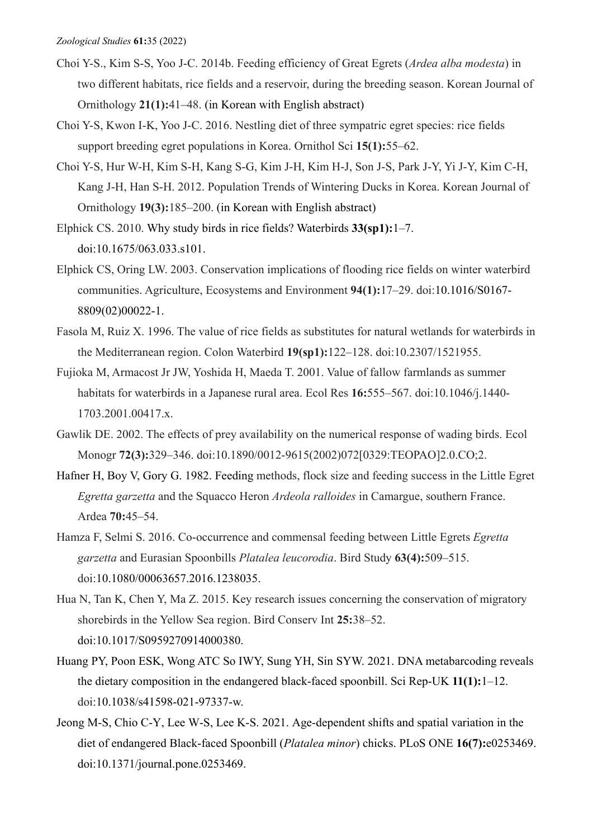- Choi Y-S., Kim S-S, Yoo J-C. 2014b. Feeding efficiency of Great Egrets (*Ardea alba modesta*) in two different habitats, rice fields and a reservoir, during the breeding season. Korean Journal of Ornithology **21(1):**41–48. (in Korean with English abstract)
- Choi Y-S, Kwon I-K, Yoo J-C. 2016. Nestling diet of three sympatric egret species: rice fields support breeding egret populations in Korea. Ornithol Sci **15(1):**55–62.
- Choi Y-S, Hur W-H, Kim S-H, Kang S-G, Kim J-H, Kim H-J, Son J-S, Park J-Y, Yi J-Y, Kim C-H, Kang J-H, Han S-H. 2012. Population Trends of Wintering Ducks in Korea. Korean Journal of Ornithology **19(3):**185–200. (in Korean with English abstract)
- Elphick CS. 2010. Why study birds in rice fields? Waterbirds **33(sp1):**1–7. doi:10.1675/063.033.s101.
- Elphick CS, Oring LW. 2003. Conservation implications of flooding rice fields on winter waterbird communities. Agriculture, Ecosystems and Environment **94(1):**17–29. doi[:10.1016/S0167-](https://doi.org/10.1016/S0167-8809(02)00022-1) [8809\(02\)00022-1.](https://doi.org/10.1016/S0167-8809(02)00022-1)
- Fasola M, Ruiz X. 1996. The value of rice fields as substitutes for natural wetlands for waterbirds in the Mediterranean region. Colon Waterbird **19(sp1):**122–128. doi[:10.2307/1521955.](http://dx.doi.org/10.2307/1521955)
- Fujioka M, Armacost Jr JW, Yoshida H, Maeda T. 2001. Value of fallow farmlands as summer habitats for waterbirds in a Japanese rural area. Ecol Res **16:**555–567. doi:10.1046/j.1440- 1703.2001.00417.x.
- Gawlik DE. 2002. The effects of prey availability on the numerical response of wading birds. Ecol Monogr **72(3):**329–346. doi[:10.1890/0012-9615\(2002\)072\[0329:TEOPAO\]2.0.CO;2.](https://doi.org/10.1890/0012-9615(2002)072%5b0329:TEOPAO%5d2.0.CO;2)
- Hafner H, Boy V, Gory G. 1982. Feeding methods, flock size and feeding success in the Little Egret *Egretta garzetta* and the Squacco Heron *Ardeola ralloides* in Camargue, southern France. Ardea **70:**45–54.
- Hamza F, Selmi S. 2016. Co-occurrence and commensal feeding between Little Egrets *Egretta garzetta* and Eurasian Spoonbills *Platalea leucorodia*. Bird Study **63(4):**509–515. doi[:10.1080/00063657.2016.1238035.](https://doi.org/10.1080/00063657.2016.1238035)
- Hua N, Tan K, Chen Y, Ma Z. 2015. Key research issues concerning the conservation of migratory shorebirds in the Yellow Sea region. Bird Conserv Int **25:**38–52. doi:10.1017/S0959270914000380.
- Huang PY, Poon ESK, Wong ATC So IWY, Sung YH, Sin SYW. 2021. DNA metabarcoding reveals the dietary composition in the endangered black-faced spoonbill. Sci Rep-UK **11(1):**1–12. doi:10.1038/s41598-021-97337-w.
- Jeong M-S, Chio C-Y, Lee W-S, Lee K-S. 2021. Age-dependent shifts and spatial variation in the diet of endangered Black-faced Spoonbill (*Platalea minor*) chicks. PLoS ONE **16(7):**e0253469. doi:10.1371/journal.pone.0253469.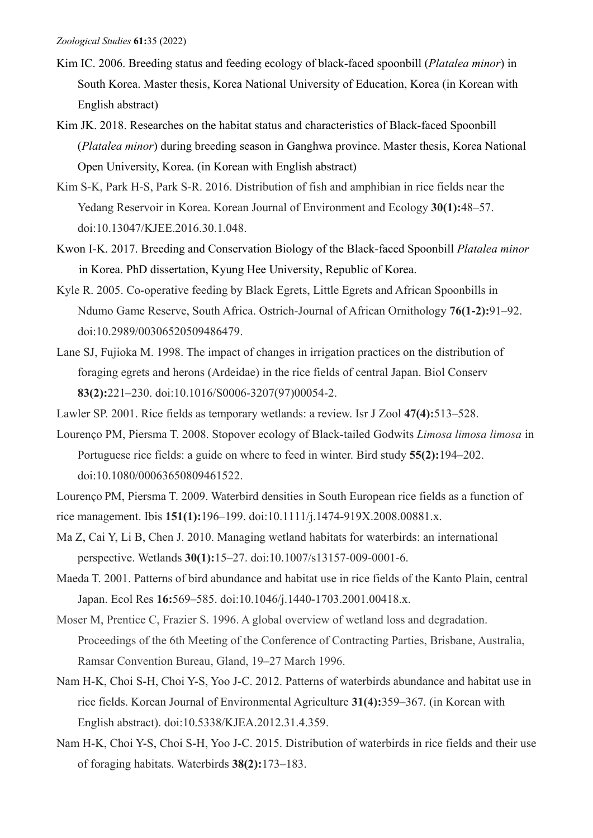- Kim IC. 2006. Breeding status and feeding ecology of black-faced spoonbill (*Platalea minor*) in South Korea. Master thesis, Korea National University of Education, Korea (in Korean with English abstract)
- Kim JK. 2018. Researches on the habitat status and characteristics of Black-faced Spoonbill (*Platalea minor*) during breeding season in Ganghwa province. Master thesis, Korea National Open University, Korea. (in Korean with English abstract)
- Kim S-K, Park H-S, Park S-R. 2016. Distribution of fish and amphibian in rice fields near the Yedang Reservoir in Korea. Korean Journal of Environment and Ecology **30(1):**48–57. doi:10.13047/KJEE.2016.30.1.048.
- Kwon I-K. 2017. Breeding and Conservation Biology of the Black-faced Spoonbill *Platalea minor* in Korea. PhD dissertation, Kyung Hee University, Republic of Korea.
- Kyle R. 2005. Co-operative feeding by Black Egrets, Little Egrets and African Spoonbills in Ndumo Game Reserve, South Africa. Ostrich-Journal of African Ornithology **76(1-2):**91–92. doi:10.2989/00306520509486479.
- Lane SJ, Fujioka M. 1998. The impact of changes in irrigation practices on the distribution of foraging egrets and herons (Ardeidae) in the rice fields of central Japan. Biol Conserv **83(2):**221–230. doi[:10.1016/S0006-3207\(97\)00054-2.](https://doi.org/10.1016/S0006-3207(97)00054-2)
- Lawler SP. 2001. Rice fields as temporary wetlands: a review. Isr J Zool **47(4):**513–528.
- Lourenço PM, Piersma T. 2008. Stopover ecology of Black-tailed Godwits *Limosa limosa limosa* in Portuguese rice fields: a guide on where to feed in winter. Bird study **55(2):**194–202. doi:10.1080/00063650809461522.
- Lourenço PM, Piersma T. 2009. Waterbird densities in South European rice fields as a function of
- rice management. Ibis **151(1):**196–199. doi[:10.1111/j.1474-919X.2008.00881.x.](https://doi.org/10.1111/j.1474-919X.2008.00881.x)
- Ma Z, Cai Y, Li B, Chen J. 2010. Managing wetland habitats for waterbirds: an international perspective. Wetlands **30(1):**15–27. doi:10.1007/s13157-009-0001-6.
- Maeda T. 2001. Patterns of bird abundance and habitat use in rice fields of the Kanto Plain, central Japan. Ecol Res **16:**569–585. doi:10.1046/j.1440-1703.2001.00418.x.
- Moser M, Prentice C, Frazier S. 1996. A global overview of wetland loss and degradation. Proceedings of the 6th Meeting of the Conference of Contracting Parties, Brisbane, Australia, Ramsar Convention Bureau, Gland, 19–27 March 1996.
- Nam H-K, Choi S-H, Choi Y-S, Yoo J-C. 2012. Patterns of waterbirds abundance and habitat use in rice fields. Korean Journal of Environmental Agriculture **31(4):**359–367. (in Korean with English abstract). doi:10.5338/KJEA.2012.31.4.359.
- Nam H-K, Choi Y-S, Choi S-H, Yoo J-C. 2015. Distribution of waterbirds in rice fields and their use of foraging habitats. Waterbirds **38(2):**173–183.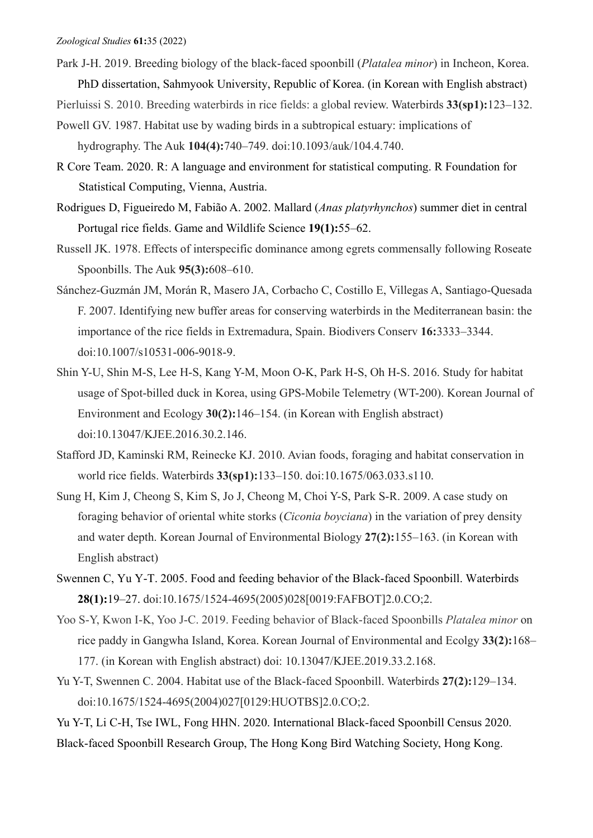Park J-H. 2019. Breeding biology of the black-faced spoonbill (*Platalea minor*) in Incheon, Korea. PhD dissertation, Sahmyook University, Republic of Korea. (in Korean with English abstract)

Pierluissi S. 2010. Breeding waterbirds in rice fields: a global review. Waterbirds **33(sp1):**123–132.

- Powell GV. 1987. Habitat use by wading birds in a subtropical estuary: implications of hydrography. The Auk **104(4):**740–749. doi[:10.1093/auk/104.4.740.](https://doi.org/10.1093/auk/104.4.740)
- R Core Team. 2020. R: A language and environment for statistical computing. R Foundation for Statistical Computing, Vienna, Austria.
- Rodrigues D, Figueiredo M, Fabião A. 2002. Mallard (*Anas platyrhynchos*) summer diet in central Portugal rice fields. Game and Wildlife Science **19(1):**55–62.
- Russell JK. 1978. Effects of interspecific dominance among egrets commensally following Roseate Spoonbills. The Auk **95(3):**608–610.
- Sánchez-Guzmán JM, Morán R, Masero JA, Corbacho C, Costillo E, Villegas A, Santiago-Quesada F. 2007. Identifying new buffer areas for conserving waterbirds in the Mediterranean basin: the importance of the rice fields in Extremadura, Spain. Biodivers Conserv **16:**3333–3344. doi:10.1007/s10531-006-9018-9.
- Shin Y-U, Shin M-S, Lee H-S, Kang Y-M, Moon O-K, Park H-S, Oh H-S. 2016. Study for habitat usage of Spot-billed duck in Korea, using GPS-Mobile Telemetry (WT-200). Korean Journal of Environment and Ecology **30(2):**146–154. (in Korean with English abstract) doi:10.13047/KJEE.2016.30.2.146.
- Stafford JD, Kaminski RM, Reinecke KJ. 2010. Avian foods, foraging and habitat conservation in world rice fields. Waterbirds **33(sp1):**133–150. doi[:10.1675/063.033.s110.](https://doi.org/10.1675/063.033.s110)
- Sung H, Kim J, Cheong S, Kim S, Jo J, Cheong M, Choi Y-S, Park S-R. 2009. A case study on foraging behavior of oriental white storks (*Ciconia boyciana*) in the variation of prey density and water depth. Korean Journal of Environmental Biology **27(2):**155–163. (in Korean with English abstract)
- Swennen C, Yu Y-T. 2005. Food and feeding behavior of the Black-faced Spoonbill. Waterbirds **28(1):**19–27. [doi:10.1675/1524-4695\(2005\)028\[0019:FAFBOT\]2.0.CO;2.](https://doi.org/10.1675/1524-4695(2005)028%5b0019:FAFBOT%5d2.0.CO;2)
- Yoo S-Y, Kwon I-K, Yoo J-C. 2019. Feeding behavior of Black-faced Spoonbills *Platalea minor* on rice paddy in Gangwha Island, Korea. Korean Journal of Environmental and Ecolgy **33(2):**168– 177. (in Korean with English abstract) doi: 10.13047/KJEE.2019.33.2.168.
- Yu Y-T, Swennen C. 2004. Habitat use of the Black-faced Spoonbill. Waterbirds **27(2):**129–134. [doi:10.1675/1524-4695\(2004\)027\[0129:HUOTBS\]2.0.CO;2.](https://doi.org/10.1675/1524-4695(2004)027%5b0129:HUOTBS%5d2.0.CO;2)

Yu Y-T, Li C-H, Tse IWL, Fong HHN. 2020. International Black-faced Spoonbill Census 2020.

Black-faced Spoonbill Research Group, The Hong Kong Bird Watching Society, Hong Kong.